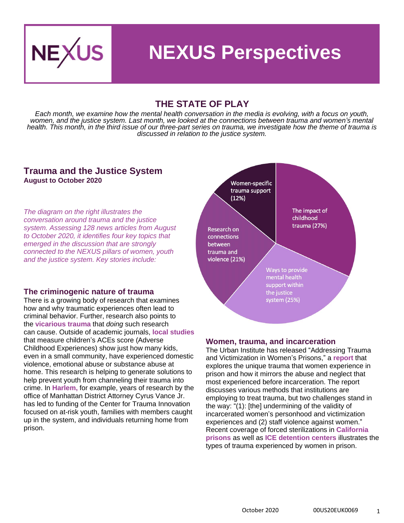

### **NEXUS Perspectives**

#### **THE STATE OF PLAY**

*Each month, we examine how the mental health conversation in the media is evolving, with a focus on youth, women, and the justice system. Last month, we looked at the connections between trauma and women's mental health. This month, in the third issue of our three-part series on trauma, we investigate how the theme of trauma is discussed in relation to the justice system.*

#### **Trauma and the Justice System August to October 2020**

*The diagram on the right illustrates the conversation around trauma and the justice system. Assessing 128 news articles from August to October 2020, it identifies four key topics that emerged in the discussion that are strongly connected to the NEXUS pillars of women, youth and the justice system. Key stories include:*

#### **The criminogenic nature of trauma**

There is a growing body of research that examines how and why traumatic experiences often lead to criminal behavior. Further, research also points to the **[vicarious trauma](https://journals.sagepub.com/doi/full/10.1177/2059799120926085)** that *doing* such research can cause. Outside of academic journals, **[local studies](https://www.redding.com/story/news/2020/08/04/california-shasta-county-adverse-childhood-experiences-test-aces-study/5559233002/)** that measure children's ACEs score (Adverse Childhood Experiences) show just how many kids, even in a small community, have experienced domestic violence, emotional abuse or substance abuse at home. This research is helping to generate solutions to help prevent youth from channeling their trauma into crime. In **[Harlem,](https://www.wsj.com/articles/settlement-cash-used-to-create-trauma-focused-center-in-harlem-11601309616)** for example, years of research by the office of Manhattan District Attorney Cyrus Vance Jr. has led to funding of the Center for Trauma Innovation focused on at-risk youth, families with members caught up in the system, and individuals returning home from prison.



#### **Women, trauma, and incarceration**

The Urban Institute has released "Addressing Trauma and Victimization in Women's Prisons," a **[report](https://www.urban.org/sites/default/files/2020/10/05/addressing_trauma_and_victimization_in_womens_prisons_executive_summary.pdf)** that explores the unique trauma that women experience in prison and how it mirrors the abuse and neglect that most experienced before incarceration. The report discusses various methods that institutions are employing to treat trauma, but two challenges stand in the way: "(1): [the] undermining of the validity of incarcerated women's personhood and victimization experiences and (2) staff violence against women." Recent coverage of forced sterilizations in **[California](https://www.nytimes.com/2020/10/15/movies/belly-of-the-beast-review.html)  [prisons](https://www.nytimes.com/2020/10/15/movies/belly-of-the-beast-review.html)** as well as **[ICE detention centers](https://www.washingtonpost.com/politics/2020/09/25/ice-is-accused-sterilizing-detainees-that-echoes-uss-long-history-forced-sterilization/)** illustrates the types of trauma experienced by women in prison.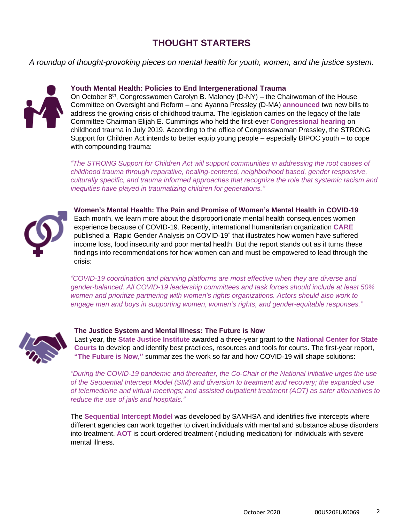### **THOUGHT STARTERS**

*A roundup of thought-provoking pieces on mental health for youth, women, and the justice system.*



#### **Youth Mental Health: Policies to End Intergenerational Trauma**

On October 8<sup>th</sup>, Congresswomen Carolyn B. Maloney (D-NY) – the Chairwoman of the House Committee on Oversight and Reform – and Ayanna Pressley (D-MA) **[announced](https://maloney.house.gov/media-center/press-releases/reps-maloney-and-pressley-to-introduce-bold-legislation-to-address)** two new bills to address the growing crisis of childhood trauma. The legislation carries on the legacy of the late Committee Chairman Elijah E. Cummings who held the first-ever **[Congressional hearing](https://www.acesconnection.com/blog/personal-stories-from-witnesses-and-u-s-representatives-provided-an-emotional-wallop-to-house-oversight-and-reform-committee-hearing-on-childhood-trauma)** on childhood trauma in July 2019. According to the office of Congresswoman Pressley, the STRONG Support for Children Act intends to better equip young people – especially BIPOC youth – to cope with compounding trauma:

*"The STRONG Support for Children Act will support communities in addressing the root causes of childhood trauma through reparative, healing-centered, neighborhood based, gender responsive, culturally specific, and trauma informed approaches that recognize the role that systemic racism and inequities have played in traumatizing children for generations."*



**Women's Mental Health: The Pain and Promise of Women's Mental Health in COVID-19** Each month, we learn more about the disproportionate mental health consequences women experience because of COVID-19. Recently, international humanitarian organization **[CARE](https://www.care.org/wp-content/uploads/2020/09/RGA_SheToldUsSo_9.18.20.pdf)** published a "Rapid Gender Analysis on COVID-19" that illustrates how women have suffered income loss, food insecurity and poor mental health. But the report stands out as it turns these findings into recommendations for how women can and must be empowered to lead through the crisis:

*"COVID-19 coordination and planning platforms are most effective when they are diverse and gender-balanced. All COVID-19 leadership committees and task forces should include at least 50% women and prioritize partnering with women's rights organizations. Actors should also work to engage men and boys in supporting women, women's rights, and gender-equitable responses."*



#### **The Justice System and Mental Illness: The Future is Now**

Last year, the **[State Justice Institute](https://www.sji.gov/)** awarded a three-year grant to the **[National Center for State](https://www.ncsc.org/)  [Courts](https://www.ncsc.org/)** to develop and identify best practices, resources and tools for courts. The first-year report, **["The Future is Now,"](https://www.ncsc.org/__data/assets/pdf_file/0019/41653/Future_is_Now_Final_rev.pdf)** summarizes the work so far and how COVID-19 will shape solutions:

*"During the COVID-19 pandemic and thereafter, the Co-Chair of the National Initiative urges the use of the Sequential Intercept Model (SIM) and diversion to treatment and recovery; the expanded use of telemedicine and virtual meetings; and assisted outpatient treatment (AOT) as safer alternatives to reduce the use of jails and hospitals."*

The **[Sequential Intercept Model](https://www.samhsa.gov/criminal-juvenile-justice/sim-overview)** was developed by SAMHSA and identifies five intercepts where different agencies can work together to divert individuals with mental and substance abuse disorders into treatment. **[AOT](https://www.treatmentadvocacycenter.org/component/content/article/39#:~:text=Assisted%20outpatient%20treatment%20(AOT)%20is,a%20history%20of%20medication%20noncompliance.)** is court-ordered treatment (including medication) for individuals with severe mental illness.